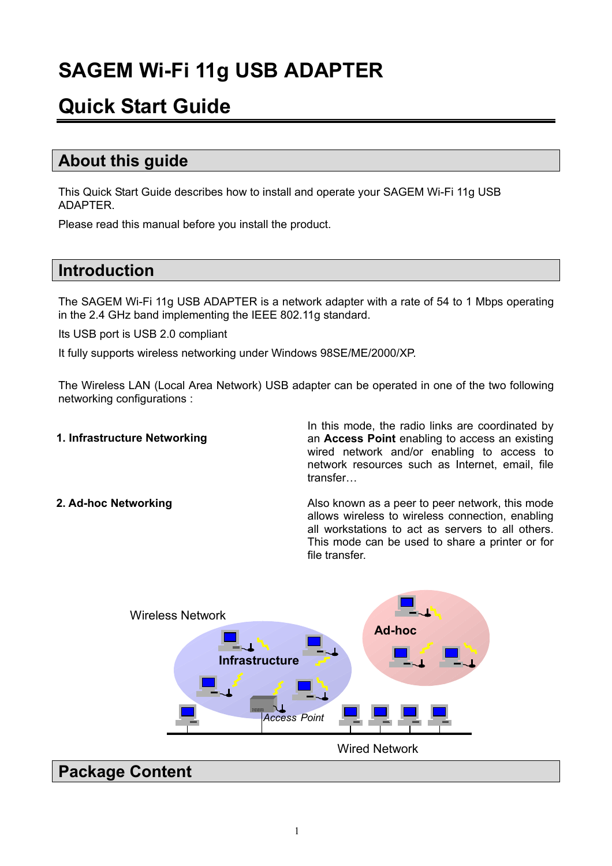# **SAGEM Wi-Fi 11g USB ADAPTER**

## **Quick Start Guide**

### **About this guide**

This Quick Start Guide describes how to install and operate your SAGEM Wi-Fi 11g USB ADAPTER.

Please read this manual before you install the product.

### **Introduction**

The SAGEM Wi-Fi 11g USB ADAPTER is a network adapter with a rate of 54 to 1 Mbps operating in the 2.4 GHz band implementing the IEEE 802.11g standard.

Its USB port is USB 2.0 compliant

It fully supports wireless networking under Windows 98SE/ME/2000/XP.

The Wireless LAN (Local Area Network) USB adapter can be operated in one of the two following networking configurations :

#### **1. Infrastructure Networking**

In this mode, the radio links are coordinated by an **Access Point** enabling to access an existing wired network and/or enabling to access to network resources such as Internet, email, file transfer…

**2. Ad-hoc Networking The Community Communist Also known as a peer to peer network, this mode** allows wireless to wireless connection, enabling all workstations to act as servers to all others. This mode can be used to share a printer or for file transfer.



### **Package Content**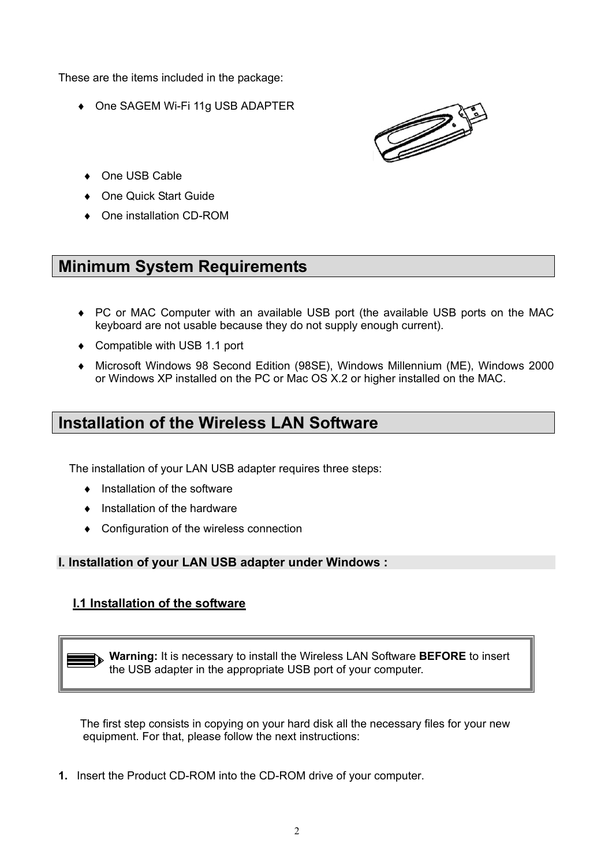These are the items included in the package:

♦ One SAGEM Wi-Fi 11g USB ADAPTER



- ♦ One USB Cable
- **One Quick Start Guide**
- ♦ One installation CD-ROM

### **Minimum System Requirements**

- ♦ PC or MAC Computer with an available USB port (the available USB ports on the MAC keyboard are not usable because they do not supply enough current).
- ♦ Compatible with USB 1.1 port
- ♦ Microsoft Windows 98 Second Edition (98SE), Windows Millennium (ME), Windows 2000 or Windows XP installed on the PC or Mac OS X.2 or higher installed on the MAC.

### **Installation of the Wireless LAN Software**

The installation of your LAN USB adapter requires three steps:

- ♦ Installation of the software
- ♦ Installation of the hardware
- ♦ Configuration of the wireless connection

#### **I. Installation of your LAN USB adapter under Windows :**

#### **I.1 Installation of the software**

**Warning:** It is necessary to install the Wireless LAN Software **BEFORE** to insert the USB adapter in the appropriate USB port of your computer.

The first step consists in copying on your hard disk all the necessary files for your new equipment. For that, please follow the next instructions:

**1.** Insert the Product CD-ROM into the CD-ROM drive of your computer.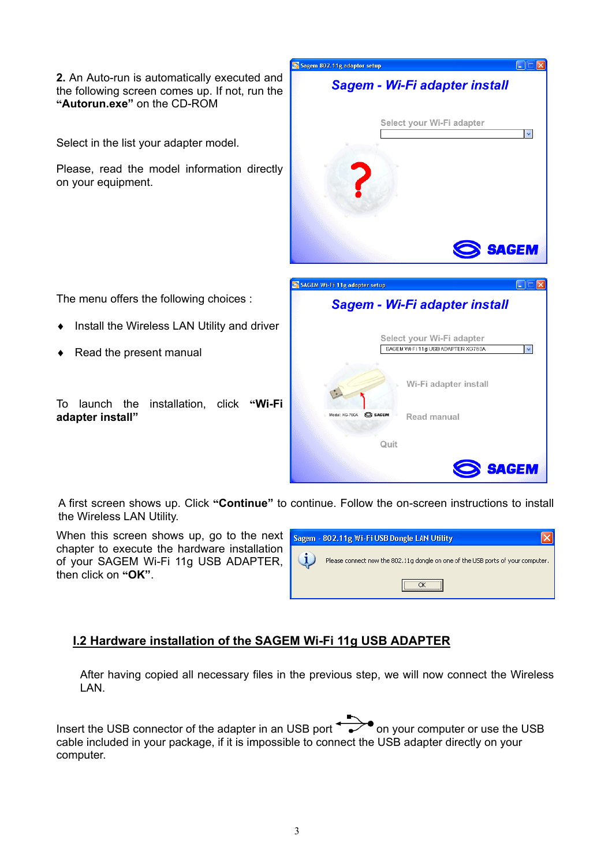**2.** An Auto-run is automatically executed and the following screen comes up. If not, run the **"Autorun.exe"** on the CD-ROM

Select in the list your adapter model.

Please, read the model information directly on your equipment.

The menu offers the following choices :

- Install the Wireless LAN Utility and driver
- Read the present manual

To launch the installation, click **"Wi-Fi adapter install"**

A first screen shows up. Click **"Continue"** to continue. Follow the on-screen instructions to install the Wireless LAN Utility.

Sagem 802.11g adaptor setup

**SAGEM Wi-Fi 11g adapter setup** 

Model:  $XG-760A$   $S$  sagem

Quit

Sagem - Wi-Fi adapter install

Sagem - Wi-Fi adapter install

Select your Wi-Fi adapter SAGEM Wi-Fi 11g USB ADAPTER XG760A

Read manual

Wi-Fi adapter install

Select your Wi-Fi adapter

**DER** 

 $\overline{\mathbf{v}}$ 

**SAGEM** 

 $\Box \Box$ 

 $\blacktriangleright$ 

**SAGEM** 

When this screen shows up, go to the next chapter to execute the hardware installation of your SAGEM Wi-Fi 11g USB ADAPTER, then click on **"OK"**.



#### **I.2 Hardware installation of the SAGEM Wi-Fi 11g USB ADAPTER**

After having copied all necessary files in the previous step, we will now connect the Wireless LAN.

Insert the USB connector of the adapter in an USB port  $\rightarrow$  on your computer or use the USB cable included in your package, if it is impossible to connect the USB adapter directly on your computer.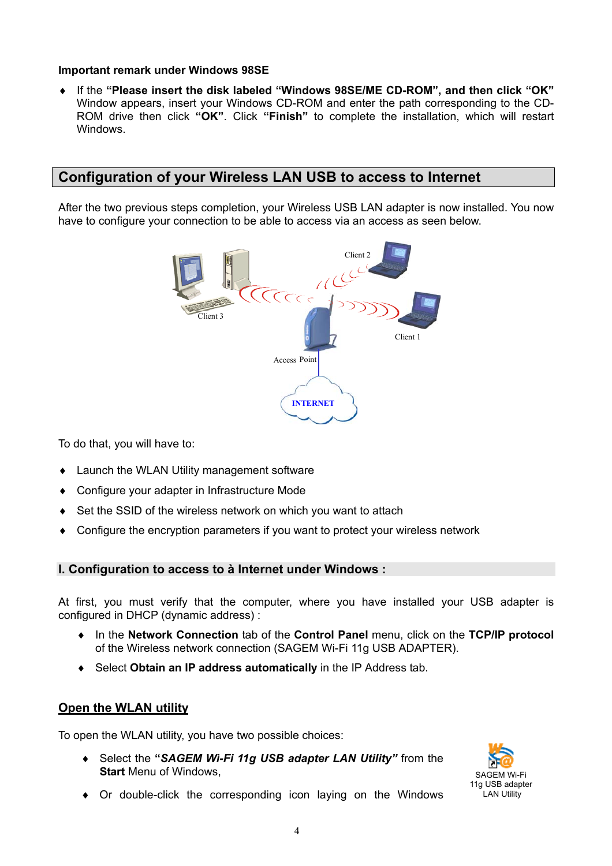#### **Important remark under Windows 98SE**

♦ If the **"Please insert the disk labeled "Windows 98SE/ME CD-ROM", and then click "OK"** Window appears, insert your Windows CD-ROM and enter the path corresponding to the CD-ROM drive then click **"OK"**. Click **"Finish"** to complete the installation, which will restart Windows.

#### **Configuration of your Wireless LAN USB to access to Internet**

After the two previous steps completion, your Wireless USB LAN adapter is now installed. You now have to configure your connection to be able to access via an access as seen below.



To do that, you will have to:

- ♦ Launch the WLAN Utility management software
- ♦ Configure your adapter in Infrastructure Mode
- ♦ Set the SSID of the wireless network on which you want to attach
- ♦ Configure the encryption parameters if you want to protect your wireless network

#### **I. Configuration to access to à Internet under Windows :**

At first, you must verify that the computer, where you have installed your USB adapter is configured in DHCP (dynamic address) :

- ♦ In the **Network Connection** tab of the **Control Panel** menu, click on the **TCP/IP protocol** of the Wireless network connection (SAGEM Wi-Fi 11g USB ADAPTER).
- ♦ Select **Obtain an IP address automatically** in the IP Address tab.

#### **Open the WLAN utility**

To open the WLAN utility, you have two possible choices:

♦ Select the **"***SAGEM Wi-Fi 11g USB adapter LAN Utility"* from the **Start** Menu of Windows,



♦ Or double-click the corresponding icon laying on the Windows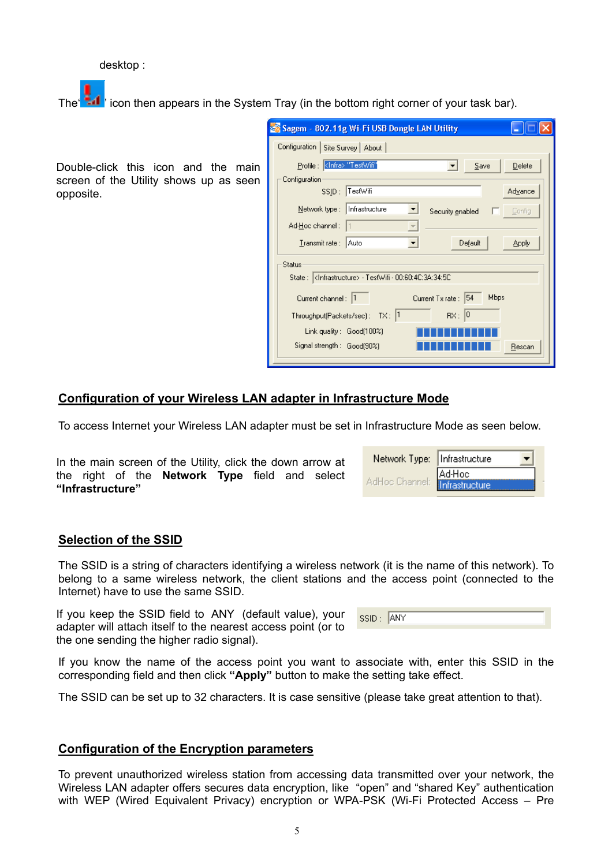desktop :

The  $\frac{1}{2}$  if  $\cdot$  icon then appears in the System Tray (in the bottom right corner of your task bar).

Double-click this icon and the main screen of the Utility shows up as seen opposite.

| Sagem - 802.11g Wi-Fi USB Dongle LAN Utility                              |  |
|---------------------------------------------------------------------------|--|
| Configuration   Site Survey   About                                       |  |
| Delete<br>Save                                                            |  |
| Configuration                                                             |  |
| SSID: TestWifi<br>Advance                                                 |  |
| Network type:   Infrastructure<br>Config<br>Security enabled              |  |
| Ad-Hoc channel :                                                          |  |
| Transmit rate: Auto<br>Default<br>Apply                                   |  |
| Status                                                                    |  |
| State:   <infrastructure> - TestWifi - 00:60:40:34:34:50</infrastructure> |  |
| Mbps<br>Current Tx rate: 54<br>Current channel: 1                         |  |
| Throughput(Packets/sec): TX: 1<br>$RX:$ 0                                 |  |
| Link quality: Good(100%)                                                  |  |
| Signal strength : Good(90%)<br>Rescan                                     |  |
|                                                                           |  |

#### **Configuration of your Wireless LAN adapter in Infrastructure Mode**

To access Internet your Wireless LAN adapter must be set in Infrastructure Mode as seen below.

In the main screen of the Utility, click the down arrow at the right of the **Network Type** field and select **"Infrastructure"**

| Network Type:   Infrastructure |                                 |
|--------------------------------|---------------------------------|
| AdHoc Channel:                 | Ad-Hoc<br><b>Infrastructure</b> |

#### **Selection of the SSID**

The SSID is a string of characters identifying a wireless network (it is the name of this network). To belong to a same wireless network, the client stations and the access point (connected to the Internet) have to use the same SSID.

If you keep the SSID field to ANY (default value), your adapter will attach itself to the nearest access point (or to the one sending the higher radio signal).

| <b>Contract Contract Contract Contract Contract Contract Contract Contract Contract Contract Contract Contract Co</b><br>. | <b>AIM</b> |
|----------------------------------------------------------------------------------------------------------------------------|------------|
|                                                                                                                            |            |

If you know the name of the access point you want to associate with, enter this SSID in the corresponding field and then click **"Apply"** button to make the setting take effect.

The SSID can be set up to 32 characters. It is case sensitive (please take great attention to that).

#### **Configuration of the Encryption parameters**

To prevent unauthorized wireless station from accessing data transmitted over your network, the Wireless LAN adapter offers secures data encryption, like "open" and "shared Key" authentication with WEP (Wired Equivalent Privacy) encryption or WPA-PSK (Wi-Fi Protected Access – Pre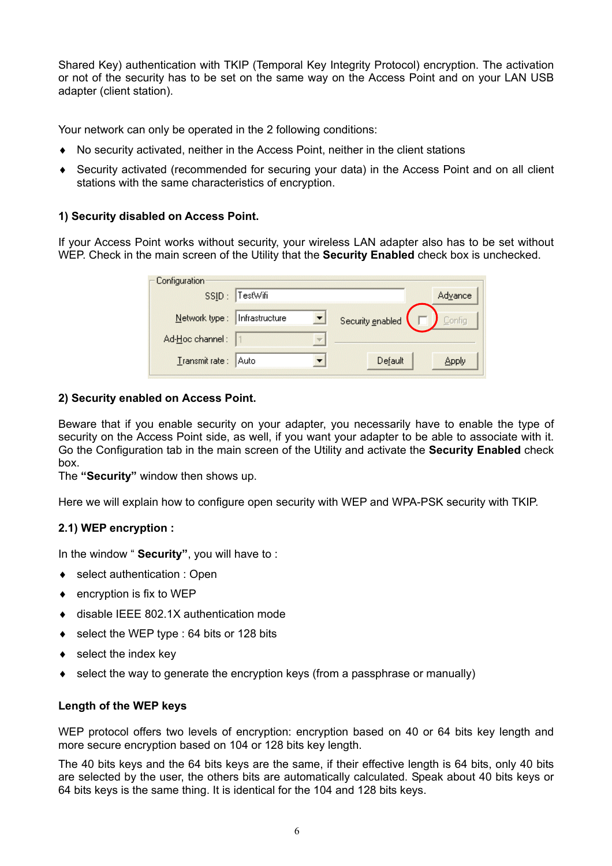Shared Key) authentication with TKIP (Temporal Key Integrity Protocol) encryption. The activation or not of the security has to be set on the same way on the Access Point and on your LAN USB adapter (client station).

Your network can only be operated in the 2 following conditions:

- ♦ No security activated, neither in the Access Point, neither in the client stations
- ♦ Security activated (recommended for securing your data) in the Access Point and on all client stations with the same characteristics of encryption.

#### **1) Security disabled on Access Point.**

If your Access Point works without security, your wireless LAN adapter also has to be set without WEP. Check in the main screen of the Utility that the **Security Enabled** check box is unchecked.

| Configuration   |                |                  |         |
|-----------------|----------------|------------------|---------|
| SSID:           | TestWifi       |                  | Advance |
| Network type :  | Infrastructure | Security enabled | Config  |
| Ad-Hoc channel: |                |                  |         |
| Transmit rate : | Auto           | Default          | Apply   |

#### **2) Security enabled on Access Point.**

Beware that if you enable security on your adapter, you necessarily have to enable the type of security on the Access Point side, as well, if you want your adapter to be able to associate with it. Go the Configuration tab in the main screen of the Utility and activate the **Security Enabled** check box.

The **"Security"** window then shows up.

Here we will explain how to configure open security with WEP and WPA-PSK security with TKIP.

#### **2.1) WEP encryption :**

In the window " **Security"**, you will have to :

- ◆ select authentication : Open
- $\bullet$  encryption is fix to WEP
- ♦ disable IEEE 802.1X authentication mode
- ♦ select the WEP type : 64 bits or 128 bits
- $\leftrightarrow$  select the index key
- $\bullet$  select the way to generate the encryption keys (from a passphrase or manually)

#### **Length of the WEP keys**

WEP protocol offers two levels of encryption: encryption based on 40 or 64 bits key length and more secure encryption based on 104 or 128 bits key length.

The 40 bits keys and the 64 bits keys are the same, if their effective length is 64 bits, only 40 bits are selected by the user, the others bits are automatically calculated. Speak about 40 bits keys or 64 bits keys is the same thing. It is identical for the 104 and 128 bits keys.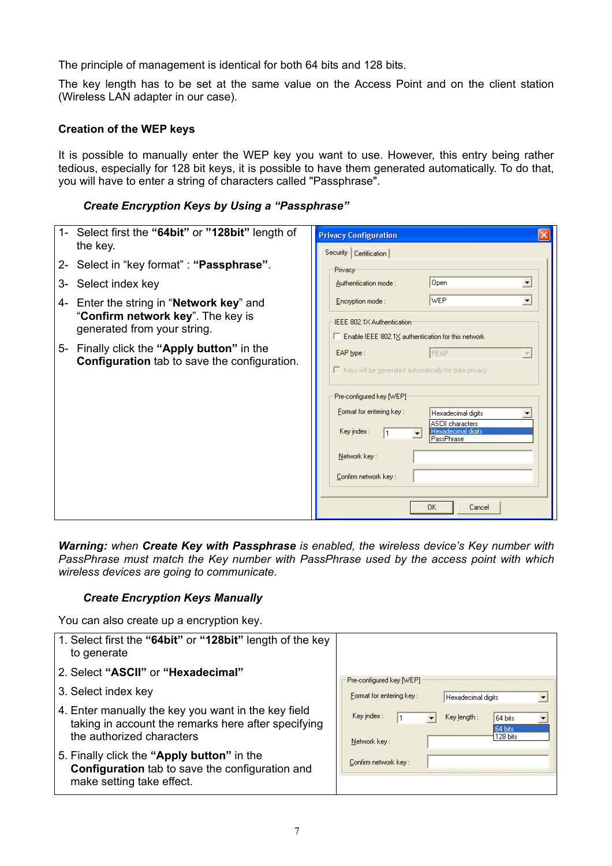The principle of management is identical for both 64 bits and 128 bits.

The key length has to be set at the same value on the Access Point and on the client station (Wireless LAN adapter in our case).

#### **Creation of the WEP keys**

It is possible to manually enter the WEP key you want to use. However, this entry being rather tedious, especially for 128 bit keys, it is possible to have them generated automatically. To do that, you will have to enter a string of characters called "Passphrase".

#### *Create Encryption Keys by Using a "Passphrase"*

| 1- Select first the "64bit" or "128bit" length of<br>the key.                                     | <b>Privacy Configuration</b><br>Security   Certification                                                |
|---------------------------------------------------------------------------------------------------|---------------------------------------------------------------------------------------------------------|
| 2- Select in "key format" : "Passphrase".                                                         | Privacy                                                                                                 |
| Select index key<br>3-                                                                            | Open<br>Authentication mode:<br>$\overline{\phantom{a}}$                                                |
| 4- Enter the string in "Network key" and                                                          | <b>IWEP</b><br>$\blacktriangledown$<br>Encryption mode:                                                 |
| "Confirm network key". The key is<br>generated from your string.                                  | IEEE 802.1X Authentication<br>$\Box$ Enable IEEE 802.1 $\times$ authentication for this network         |
| 5- Finally click the "Apply button" in the<br><b>Configuration</b> tab to save the configuration. | EAP type:<br>PEAP<br>$\overline{\mathbf{v}}$<br>■ Keys will be generated automatically for data privacy |
|                                                                                                   | Pre-configured key [WEP]                                                                                |
|                                                                                                   | Format for entering key:<br>Hexadecimal digits                                                          |
|                                                                                                   | <b>ASCII</b> characters<br>Key index :<br>Hexadecimal digits<br>l PassPhrase                            |
|                                                                                                   | Network key:                                                                                            |
|                                                                                                   | Confirm network key:                                                                                    |
|                                                                                                   | <b>OK</b><br>Cancel                                                                                     |

*Warning: when Create Key with Passphrase is enabled, the wireless device's Key number with PassPhrase must match the Key number with PassPhrase used by the access point with which wireless devices are going to communicate.*

#### *Create Encryption Keys Manually*

You can also create up a encryption key.

| 1. Select first the "64bit" or "128bit" length of the key<br>to generate                                                                |                                                                                    |
|-----------------------------------------------------------------------------------------------------------------------------------------|------------------------------------------------------------------------------------|
| 2. Select "ASCII" or "Hexadecimal"                                                                                                      |                                                                                    |
| 3. Select index key                                                                                                                     | Pre-configured key [WEP]<br>Format for entering key:<br>Hexadecimal digits         |
| 4. Enter manually the key you want in the key field<br>taking in account the remarks here after specifying<br>the authorized characters | Key index:<br>Key length:<br>64 bits<br><b>64 bits</b><br>128 bits<br>Network key: |
| 5. Finally click the "Apply button" in the<br><b>Configuration</b> tab to save the configuration and<br>make setting take effect.       | Confirm network key:                                                               |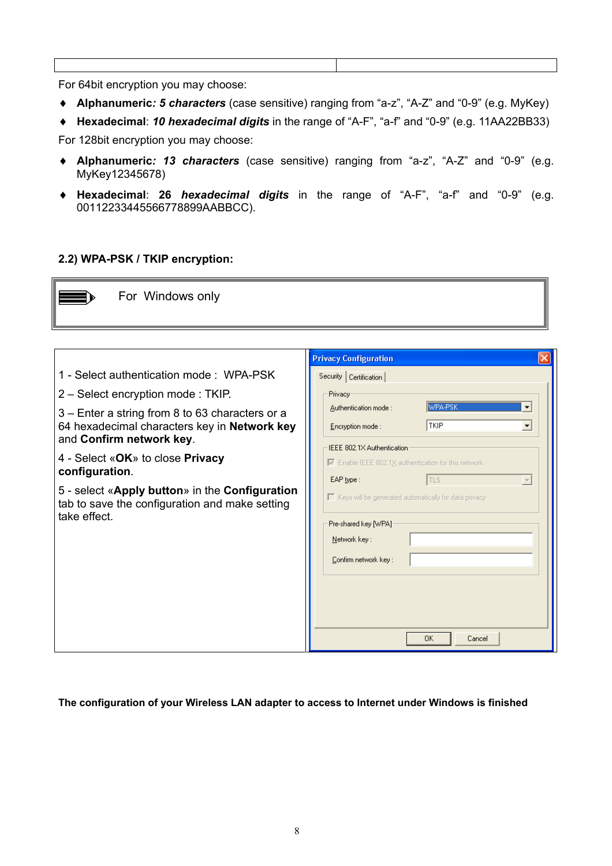For 64bit encryption you may choose:

- ♦ **Alphanumeric***: 5 characters* (case sensitive) ranging from "a-z", "A-Z" and "0-9" (e.g. MyKey)
- ♦ **Hexadecimal**: *10 hexadecimal digits* in the range of "A-F", "a-f" and "0-9" (e.g. 11AA22BB33)

For 128bit encryption you may choose:

- ♦ **Alphanumeric***: 13 characters* (case sensitive) ranging from "a-z", "A-Z" and "0-9" (e.g. MyKey12345678)
- ♦ **Hexadecimal**: **26** *hexadecimal digits* in the range of "A-F", "a-f" and "0-9" (e.g. 00112233445566778899AABBCC).

#### **2.2) WPA-PSK / TKIP encryption:**

| For Windows only                                                                                                                                                                                                                                                                                                                                                                      |                                                                                                                                                                                                                                                                                                                                                                                                                                                                     |
|---------------------------------------------------------------------------------------------------------------------------------------------------------------------------------------------------------------------------------------------------------------------------------------------------------------------------------------------------------------------------------------|---------------------------------------------------------------------------------------------------------------------------------------------------------------------------------------------------------------------------------------------------------------------------------------------------------------------------------------------------------------------------------------------------------------------------------------------------------------------|
| 1 - Select authentication mode: WPA-PSK<br>2 – Select encryption mode: TKIP.<br>3 – Enter a string from 8 to 63 characters or a<br>64 hexadecimal characters key in Network key<br>and Confirm network key.<br>4 - Select «OK» to close Privacy<br>configuration.<br>5 - select «Apply button» in the Configuration<br>tab to save the configuration and make setting<br>take effect. | <b>Privacy Configuration</b><br>Security   Certification  <br>Privacy<br>WPA-PSK<br>Authentication mode:<br><b>TKIP</b><br>Encryption mode:<br>$\overline{\phantom{a}}$<br>IEEE 802.1X Authentication<br>$\overline{\triangledown}$ Enable IEEE 802.1X authentication for this network<br>EAP type:<br><b>TLS</b><br>$\Gamma$ Keys will be generated automatically for data privacy<br>Pre-shared key [WPA]<br>Network key:<br>Confirm network key:<br>0K<br>Cancel |

#### **The configuration of your Wireless LAN adapter to access to Internet under Windows is finished**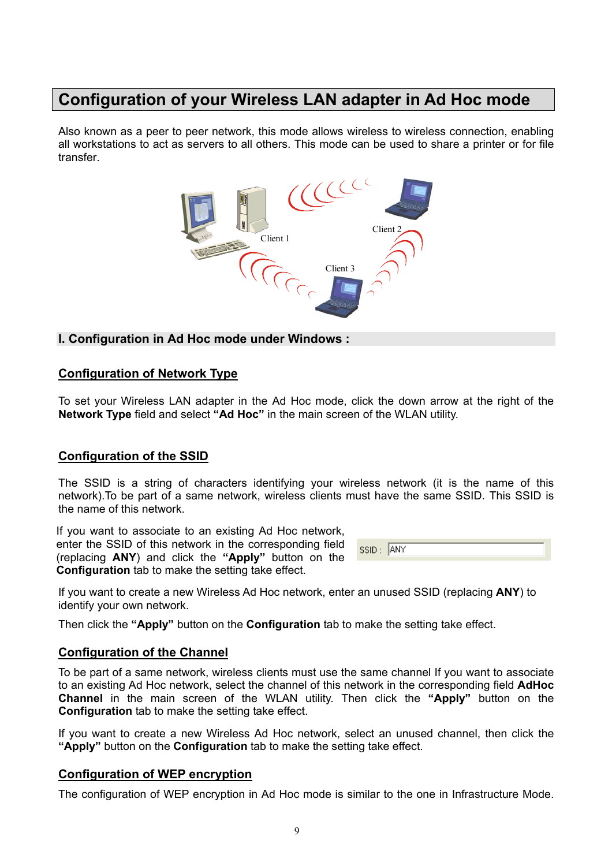### **Configuration of your Wireless LAN adapter in Ad Hoc mode**

Also known as a peer to peer network, this mode allows wireless to wireless connection, enabling all workstations to act as servers to all others. This mode can be used to share a printer or for file transfer.



#### **I. Configuration in Ad Hoc mode under Windows :**

#### **Configuration of Network Type**

To set your Wireless LAN adapter in the Ad Hoc mode, click the down arrow at the right of the **Network Type** field and select **"Ad Hoc"** in the main screen of the WLAN utility.

#### **Configuration of the SSID**

The SSID is a string of characters identifying your wireless network (it is the name of this network).To be part of a same network, wireless clients must have the same SSID. This SSID is the name of this network.

If you want to associate to an existing Ad Hoc network, enter the SSID of this network in the corresponding field (replacing **ANY**) and click the **"Apply"** button on the **Configuration** tab to make the setting take effect.

| .<br>- CCIII - |  |
|----------------|--|
|                |  |

If you want to create a new Wireless Ad Hoc network, enter an unused SSID (replacing **ANY**) to identify your own network.

Then click the **"Apply"** button on the **Configuration** tab to make the setting take effect.

#### **Configuration of the Channel**

To be part of a same network, wireless clients must use the same channel If you want to associate to an existing Ad Hoc network, select the channel of this network in the corresponding field **AdHoc Channel** in the main screen of the WLAN utility. Then click the **"Apply"** button on the **Configuration** tab to make the setting take effect.

If you want to create a new Wireless Ad Hoc network, select an unused channel, then click the **"Apply"** button on the **Configuration** tab to make the setting take effect.

#### **Configuration of WEP encryption**

The configuration of WEP encryption in Ad Hoc mode is similar to the one in Infrastructure Mode.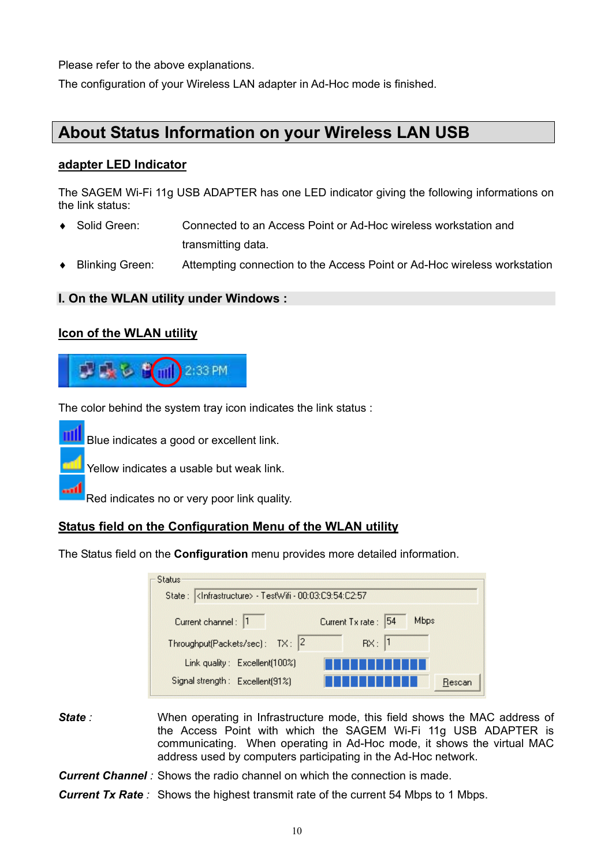Please refer to the above explanations.

The configuration of your Wireless LAN adapter in Ad-Hoc mode is finished.

### **About Status Information on your Wireless LAN USB**

#### **adapter LED Indicator**

The SAGEM Wi-Fi 11g USB ADAPTER has one LED indicator giving the following informations on the link status:

- ♦ Solid Green: Connected to an Access Point or Ad-Hoc wireless workstation and transmitting data.
- ♦ Blinking Green: Attempting connection to the Access Point or Ad-Hoc wireless workstation

#### **I. On the WLAN utility under Windows :**

#### **Icon of the WLAN utility**



The color behind the system tray icon indicates the link status :

Blue indicates a good or excellent link.

Yellow indicates a usable but weak link.

Red indicates no or very poor link quality.

#### **Status field on the Configuration Menu of the WLAN utility**

The Status field on the **Configuration** menu provides more detailed information.

| <b>Status:</b>                                                   |                                      |
|------------------------------------------------------------------|--------------------------------------|
|                                                                  |                                      |
| Current channel: 1<br>Throughput(Packets/sec): TX: 2             | Mbps<br>Current Tx rate: 54<br>Rx: 1 |
| Link quality: Excellent(100%)<br>Signal strength: Excellent(91%) | Rescan                               |

- **State** *i* When operating in Infrastructure mode, this field shows the MAC address of the Access Point with which the SAGEM Wi-Fi 11g USB ADAPTER is communicating. When operating in Ad-Hoc mode, it shows the virtual MAC address used by computers participating in the Ad-Hoc network.
- **Current Channel** : Shows the radio channel on which the connection is made.
- **Current Tx Rate**: Shows the highest transmit rate of the current 54 Mbps to 1 Mbps.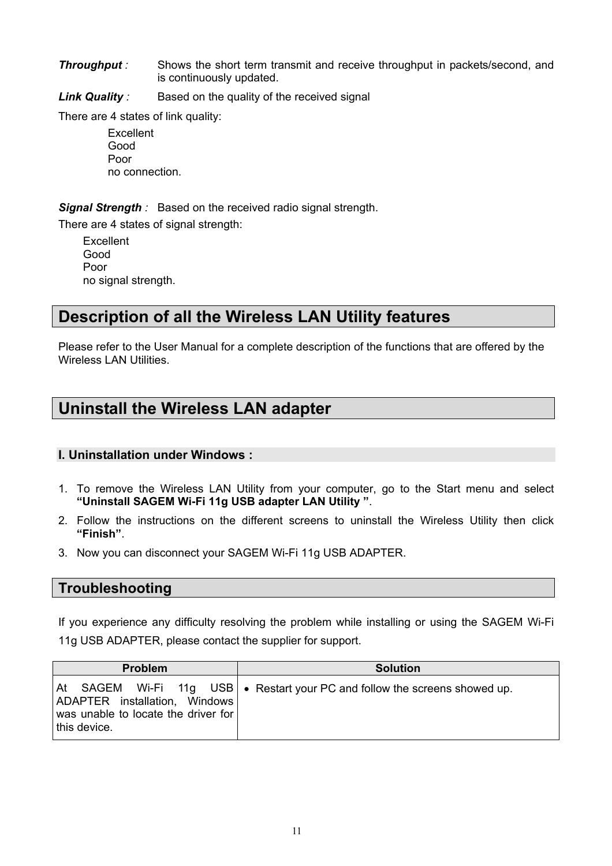**Throughput** *:* Shows the short term transmit and receive throughput in packets/second, and is continuously updated.

**Link Quality** *:* Based on the quality of the received signal

There are 4 states of link quality:

**Excellent**  Good Poor no connection.

*Signal Strength :* Based on the received radio signal strength.

There are 4 states of signal strength:

Excellent Good Poor no signal strength.

### **Description of all the Wireless LAN Utility features**

Please refer to the User Manual for a complete description of the functions that are offered by the Wireless LAN Utilities.

## **Uninstall the Wireless LAN adapter**

#### **I. Uninstallation under Windows :**

- 1. To remove the Wireless LAN Utility from your computer, go to the Start menu and select **"Uninstall SAGEM Wi-Fi 11g USB adapter LAN Utility "**.
- 2. Follow the instructions on the different screens to uninstall the Wireless Utility then click **"Finish"**.
- 3. Now you can disconnect your SAGEM Wi-Fi 11g USB ADAPTER.

#### **Troubleshooting**

If you experience any difficulty resolving the problem while installing or using the SAGEM Wi-Fi 11g USB ADAPTER, please contact the supplier for support.

| <b>Problem</b>                                                                       | <b>Solution</b>                                                              |
|--------------------------------------------------------------------------------------|------------------------------------------------------------------------------|
| ADAPTER installation, Windows<br>was unable to locate the driver for<br>this device. | At SAGEM Wi-Fi 11g USB   • Restart your PC and follow the screens showed up. |